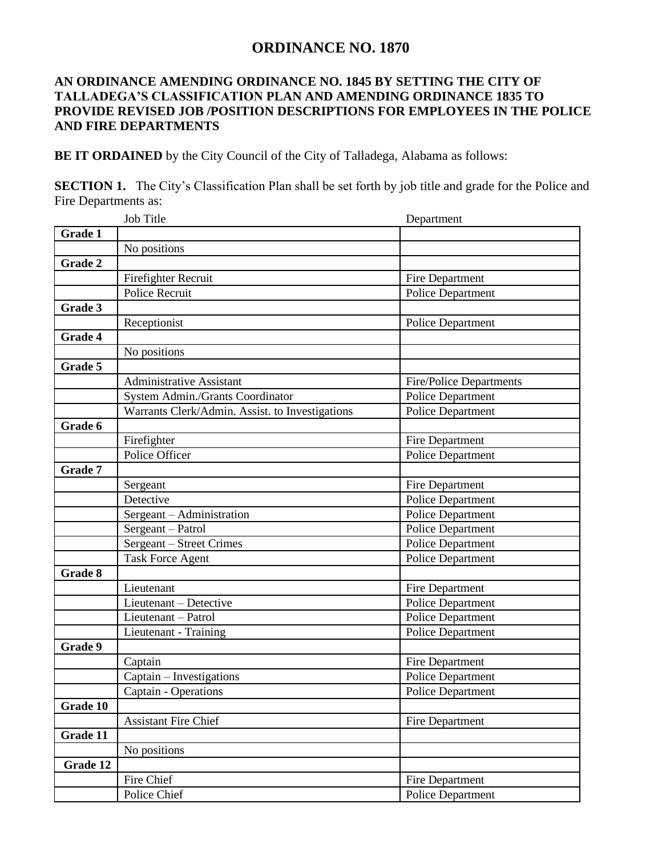## **ORDINANCE NO. 1870**

## **AN ORDINANCE AMENDING ORDINANCE NO. 1845 BY SETTING THE CITY OF TALLADEGA'S CLASSIFICATION PLAN AND AMENDING ORDINANCE 1835 TO PROVIDE REVISED JOB /POSITION DESCRIPTIONS FOR EMPLOYEES IN THE POLICE AND FIRE DEPARTMENTS**

**BE IT ORDAINED** by the City Council of the City of Talladega, Alabama as follows:

**SECTION 1.** The City's Classification Plan shall be set forth by job title and grade for the Police and Fire Departments as:

|                | Job Title                                       | Department                     |
|----------------|-------------------------------------------------|--------------------------------|
| Grade 1        |                                                 |                                |
|                | No positions                                    |                                |
| Grade 2        |                                                 |                                |
|                | Firefighter Recruit                             | Fire Department                |
|                | Police Recruit                                  | <b>Police Department</b>       |
| Grade 3        |                                                 |                                |
|                | Receptionist                                    | <b>Police Department</b>       |
| Grade 4        |                                                 |                                |
|                | No positions                                    |                                |
| Grade 5        |                                                 |                                |
|                | <b>Administrative Assistant</b>                 | <b>Fire/Police Departments</b> |
|                | System Admin./Grants Coordinator                | <b>Police Department</b>       |
|                | Warrants Clerk/Admin. Assist. to Investigations | <b>Police Department</b>       |
| Grade 6        |                                                 |                                |
|                | Firefighter                                     | Fire Department                |
|                | Police Officer                                  | <b>Police Department</b>       |
| Grade 7        |                                                 |                                |
|                | Sergeant                                        | Fire Department                |
|                | Detective                                       | <b>Police Department</b>       |
|                | Sergeant – Administration                       | Police Department              |
|                | Sergeant - Patrol                               | Police Department              |
|                | Sergeant - Street Crimes                        | Police Department              |
|                | <b>Task Force Agent</b>                         | <b>Police Department</b>       |
| <b>Grade 8</b> |                                                 |                                |
|                | Lieutenant                                      | Fire Department                |
|                | Lieutenant - Detective                          | <b>Police Department</b>       |
|                | Lieutenant - Patrol                             | <b>Police Department</b>       |
|                | Lieutenant - Training                           | <b>Police Department</b>       |
| Grade 9        |                                                 |                                |
|                | Captain                                         | Fire Department                |
|                | Captain - Investigations                        | <b>Police Department</b>       |
|                | Captain - Operations                            | <b>Police Department</b>       |
| Grade 10       |                                                 |                                |
|                | <b>Assistant Fire Chief</b>                     | Fire Department                |
| Grade 11       |                                                 |                                |
|                | No positions                                    |                                |
| Grade 12       |                                                 |                                |
|                | Fire Chief                                      | Fire Department                |
|                | Police Chief                                    | <b>Police Department</b>       |